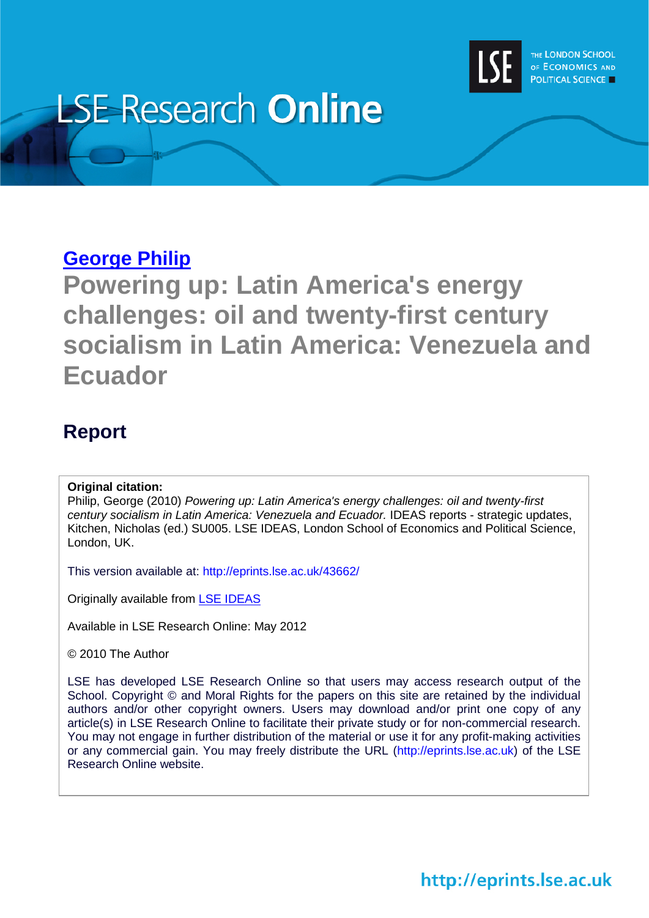

# **LSE Research Online**

## **[George Philip](http://www2.lse.ac.uk/researchAndExpertise/Experts/profile.aspx?KeyValue=g.philip@lse.ac.uk)**

**Powering up: Latin America's energy challenges: oil and twenty-first century socialism in Latin America: Venezuela and Ecuador**

## **Report**

### **Original citation:**

Philip, George (2010) *Powering up: Latin America's energy challenges: oil and twenty-first century socialism in Latin America: Venezuela and Ecuador.* IDEAS reports - strategic updates, Kitchen, Nicholas (ed.) SU005. LSE IDEAS, London School of Economics and Political Science, London, UK.

This version available at: http://eprints.lse.ac.uk/43662/

Originally available from [LSE IDEAS](http://www2.lse.ac.uk/IDEAS/Home.aspx)

Available in LSE Research Online: May 2012

© 2010 The Author

LSE has developed LSE Research Online so that users may access research output of the School. Copyright © and Moral Rights for the papers on this site are retained by the individual authors and/or other copyright owners. Users may download and/or print one copy of any article(s) in LSE Research Online to facilitate their private study or for non-commercial research. You may not engage in further distribution of the material or use it for any profit-making activities or any commercial gain. You may freely distribute the URL (http://eprints.lse.ac.uk) of the LSE Research Online website.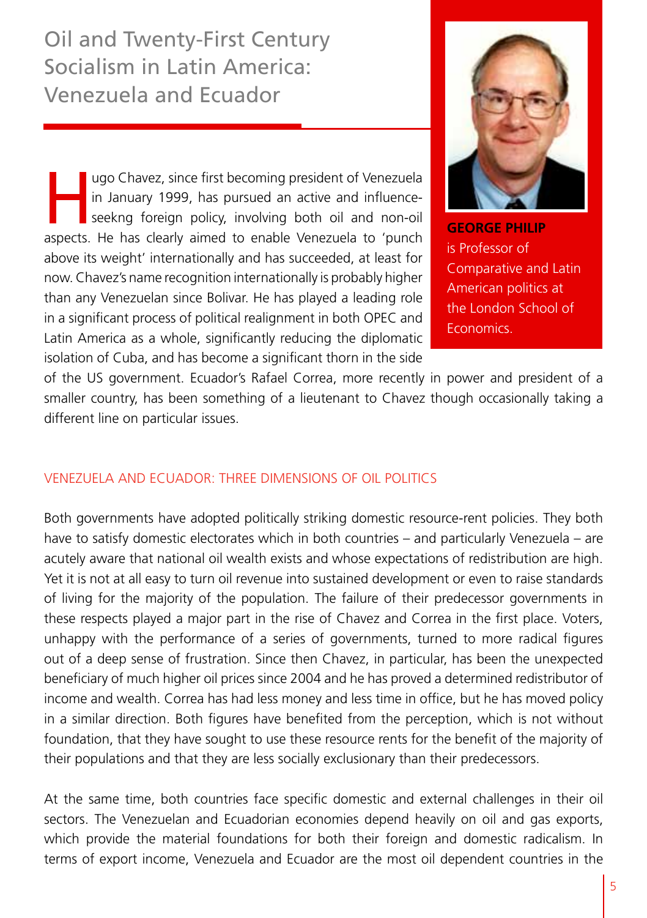Oil and Twenty-First Century Socialism in Latin America: Venezuela and Ecuador

ugo Chavez, since first becoming president of Venezuela<br>in January 1999, has pursued an active and influence-<br>seekng foreign policy, involving both oil and non-oil<br>aspects. He has cloarly aimed to enable Venezuela to 'nunc in January 1999, has pursued an active and influenceseekng foreign policy, involving both oil and non-oil aspects. He has clearly aimed to enable Venezuela to 'punch above its weight' internationally and has succeeded, at least for now. Chavez's name recognition internationally is probably higher than any Venezuelan since Bolivar. He has played a leading role in a significant process of political realignment in both OPEC and Latin America as a whole, significantly reducing the diplomatic isolation of Cuba, and has become a significant thorn in the side



**GEORGE PHILIP** is Professor of Comparative and Latin American politics at the London School of **Economics** 

of the US government. Ecuador's Rafael Correa, more recently in power and president of a smaller country, has been something of a lieutenant to Chavez though occasionally taking a different line on particular issues.

#### Venezuela and Ecuador: Three dimensions of oil politics

Both governments have adopted politically striking domestic resource-rent policies. They both have to satisfy domestic electorates which in both countries – and particularly Venezuela – are acutely aware that national oil wealth exists and whose expectations of redistribution are high. Yet it is not at all easy to turn oil revenue into sustained development or even to raise standards of living for the majority of the population. The failure of their predecessor governments in these respects played a major part in the rise of Chavez and Correa in the first place. Voters, unhappy with the performance of a series of governments, turned to more radical figures out of a deep sense of frustration. Since then Chavez, in particular, has been the unexpected beneficiary of much higher oil prices since 2004 and he has proved a determined redistributor of income and wealth. Correa has had less money and less time in office, but he has moved policy in a similar direction. Both figures have benefited from the perception, which is not without foundation, that they have sought to use these resource rents for the benefit of the majority of their populations and that they are less socially exclusionary than their predecessors.

At the same time, both countries face specific domestic and external challenges in their oil sectors. The Venezuelan and Ecuadorian economies depend heavily on oil and gas exports, which provide the material foundations for both their foreign and domestic radicalism. In terms of export income, Venezuela and Ecuador are the most oil dependent countries in the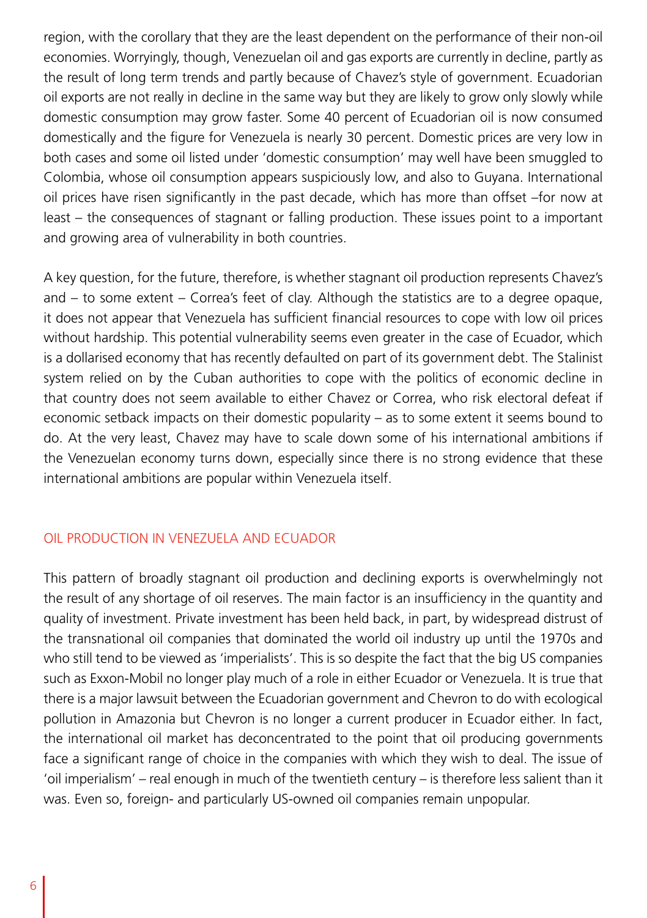region, with the corollary that they are the least dependent on the performance of their non-oil economies. Worryingly, though, Venezuelan oil and gas exports are currently in decline, partly as the result of long term trends and partly because of Chavez's style of government. Ecuadorian oil exports are not really in decline in the same way but they are likely to grow only slowly while domestic consumption may grow faster. Some 40 percent of Ecuadorian oil is now consumed domestically and the figure for Venezuela is nearly 30 percent. Domestic prices are very low in both cases and some oil listed under 'domestic consumption' may well have been smuggled to Colombia, whose oil consumption appears suspiciously low, and also to Guyana. International oil prices have risen significantly in the past decade, which has more than offset –for now at least – the consequences of stagnant or falling production. These issues point to a important and growing area of vulnerability in both countries.

A key question, for the future, therefore, is whether stagnant oil production represents Chavez's and – to some extent – Correa's feet of clay. Although the statistics are to a degree opaque, it does not appear that Venezuela has sufficient financial resources to cope with low oil prices without hardship. This potential vulnerability seems even greater in the case of Ecuador, which is a dollarised economy that has recently defaulted on part of its government debt. The Stalinist system relied on by the Cuban authorities to cope with the politics of economic decline in that country does not seem available to either Chavez or Correa, who risk electoral defeat if economic setback impacts on their domestic popularity – as to some extent it seems bound to do. At the very least, Chavez may have to scale down some of his international ambitions if the Venezuelan economy turns down, especially since there is no strong evidence that these international ambitions are popular within Venezuela itself.

#### Oil production in Venezuela and Ecuador

This pattern of broadly stagnant oil production and declining exports is overwhelmingly not the result of any shortage of oil reserves. The main factor is an insufficiency in the quantity and quality of investment. Private investment has been held back, in part, by widespread distrust of the transnational oil companies that dominated the world oil industry up until the 1970s and who still tend to be viewed as 'imperialists'. This is so despite the fact that the big US companies such as Exxon-Mobil no longer play much of a role in either Ecuador or Venezuela. It is true that there is a major lawsuit between the Ecuadorian government and Chevron to do with ecological pollution in Amazonia but Chevron is no longer a current producer in Ecuador either. In fact, the international oil market has deconcentrated to the point that oil producing governments face a significant range of choice in the companies with which they wish to deal. The issue of 'oil imperialism' – real enough in much of the twentieth century – is therefore less salient than it was. Even so, foreign- and particularly US-owned oil companies remain unpopular.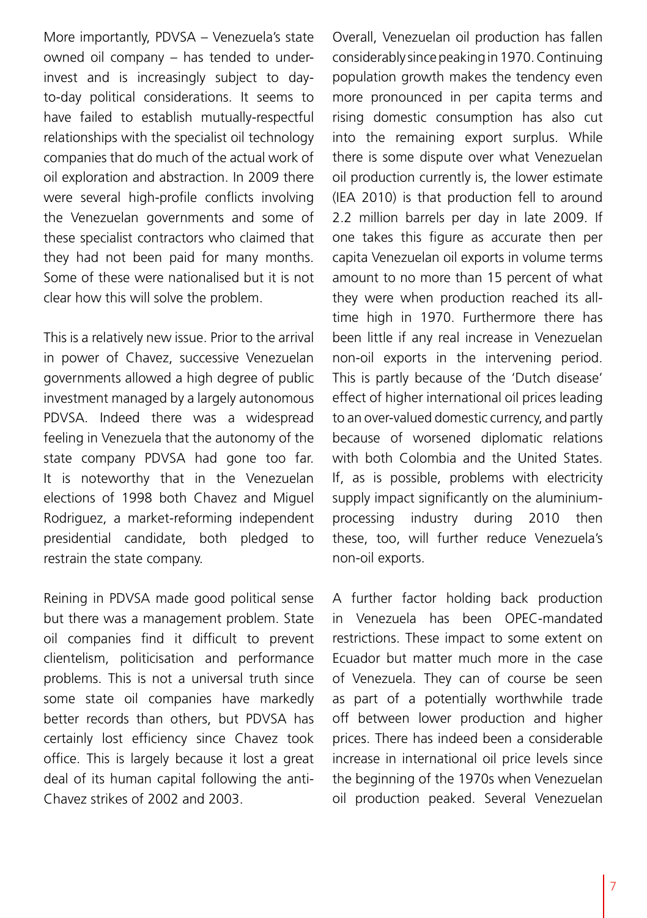More importantly, PDVSA – Venezuela's state owned oil company – has tended to underinvest and is increasingly subject to dayto-day political considerations. It seems to have failed to establish mutually-respectful relationships with the specialist oil technology companies that do much of the actual work of oil exploration and abstraction. In 2009 there were several high-profile conflicts involving the Venezuelan governments and some of these specialist contractors who claimed that they had not been paid for many months. Some of these were nationalised but it is not clear how this will solve the problem.

This is a relatively new issue. Prior to the arrival in power of Chavez, successive Venezuelan governments allowed a high degree of public investment managed by a largely autonomous PDVSA. Indeed there was a widespread feeling in Venezuela that the autonomy of the state company PDVSA had gone too far. It is noteworthy that in the Venezuelan elections of 1998 both Chavez and Miguel Rodriguez, a market-reforming independent presidential candidate, both pledged to restrain the state company.

Reining in PDVSA made good political sense but there was a management problem. State oil companies find it difficult to prevent clientelism, politicisation and performance problems. This is not a universal truth since some state oil companies have markedly better records than others, but PDVSA has certainly lost efficiency since Chavez took office. This is largely because it lost a great deal of its human capital following the anti-Chavez strikes of 2002 and 2003.

Overall, Venezuelan oil production has fallen considerably since peaking in 1970. Continuing population growth makes the tendency even more pronounced in per capita terms and rising domestic consumption has also cut into the remaining export surplus. While there is some dispute over what Venezuelan oil production currently is, the lower estimate (IEA 2010) is that production fell to around 2.2 million barrels per day in late 2009. If one takes this figure as accurate then per capita Venezuelan oil exports in volume terms amount to no more than 15 percent of what they were when production reached its alltime high in 1970. Furthermore there has been little if any real increase in Venezuelan non-oil exports in the intervening period. This is partly because of the 'Dutch disease' effect of higher international oil prices leading to an over-valued domestic currency, and partly because of worsened diplomatic relations with both Colombia and the United States. If, as is possible, problems with electricity supply impact significantly on the aluminiumprocessing industry during 2010 then these, too, will further reduce Venezuela's non-oil exports.

A further factor holding back production in Venezuela has been OPEC-mandated restrictions. These impact to some extent on Ecuador but matter much more in the case of Venezuela. They can of course be seen as part of a potentially worthwhile trade off between lower production and higher prices. There has indeed been a considerable increase in international oil price levels since the beginning of the 1970s when Venezuelan oil production peaked. Several Venezuelan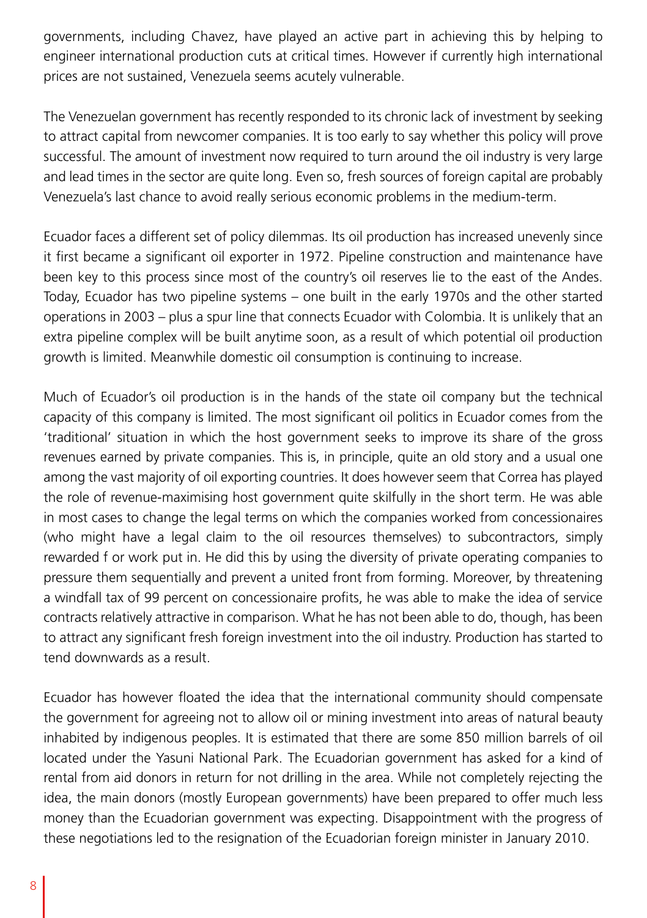governments, including Chavez, have played an active part in achieving this by helping to engineer international production cuts at critical times. However if currently high international prices are not sustained, Venezuela seems acutely vulnerable.

The Venezuelan government has recently responded to its chronic lack of investment by seeking to attract capital from newcomer companies. It is too early to say whether this policy will prove successful. The amount of investment now required to turn around the oil industry is very large and lead times in the sector are quite long. Even so, fresh sources of foreign capital are probably Venezuela's last chance to avoid really serious economic problems in the medium-term.

Ecuador faces a different set of policy dilemmas. Its oil production has increased unevenly since it first became a significant oil exporter in 1972. Pipeline construction and maintenance have been key to this process since most of the country's oil reserves lie to the east of the Andes. Today, Ecuador has two pipeline systems – one built in the early 1970s and the other started operations in 2003 – plus a spur line that connects Ecuador with Colombia. It is unlikely that an extra pipeline complex will be built anytime soon, as a result of which potential oil production growth is limited. Meanwhile domestic oil consumption is continuing to increase.

Much of Ecuador's oil production is in the hands of the state oil company but the technical capacity of this company is limited. The most significant oil politics in Ecuador comes from the 'traditional' situation in which the host government seeks to improve its share of the gross revenues earned by private companies. This is, in principle, quite an old story and a usual one among the vast majority of oil exporting countries. It does however seem that Correa has played the role of revenue-maximising host government quite skilfully in the short term. He was able in most cases to change the legal terms on which the companies worked from concessionaires (who might have a legal claim to the oil resources themselves) to subcontractors, simply rewarded f or work put in. He did this by using the diversity of private operating companies to pressure them sequentially and prevent a united front from forming. Moreover, by threatening a windfall tax of 99 percent on concessionaire profits, he was able to make the idea of service contracts relatively attractive in comparison. What he has not been able to do, though, has been to attract any significant fresh foreign investment into the oil industry. Production has started to tend downwards as a result.

Ecuador has however floated the idea that the international community should compensate the government for agreeing not to allow oil or mining investment into areas of natural beauty inhabited by indigenous peoples. It is estimated that there are some 850 million barrels of oil located under the Yasuni National Park. The Ecuadorian government has asked for a kind of rental from aid donors in return for not drilling in the area. While not completely rejecting the idea, the main donors (mostly European governments) have been prepared to offer much less money than the Ecuadorian government was expecting. Disappointment with the progress of these negotiations led to the resignation of the Ecuadorian foreign minister in January 2010.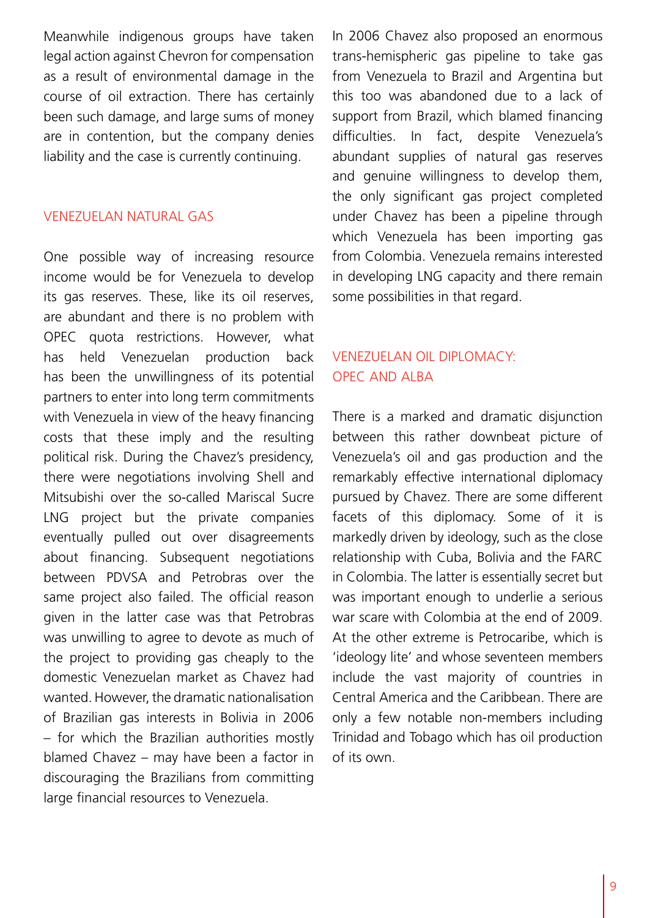Meanwhile indigenous groups have taken legal action against Chevron for compensation as a result of environmental damage in the course of oil extraction. There has certainly been such damage, and large sums of money are in contention, but the company denies liability and the case is currently continuing.

#### Venezuelan natural gas

One possible way of increasing resource income would be for Venezuela to develop its gas reserves. These, like its oil reserves, are abundant and there is no problem with OPEC quota restrictions. However, what has held Venezuelan production back has been the unwillingness of its potential partners to enter into long term commitments with Venezuela in view of the heavy financing costs that these imply and the resulting political risk. During the Chavez's presidency, there were negotiations involving Shell and Mitsubishi over the so-called Mariscal Sucre LNG project but the private companies eventually pulled out over disagreements about financing. Subsequent negotiations between PDVSA and Petrobras over the same project also failed. The official reason given in the latter case was that Petrobras was unwilling to agree to devote as much of the project to providing gas cheaply to the domestic Venezuelan market as Chavez had wanted. However, the dramatic nationalisation of Brazilian gas interests in Bolivia in 2006 – for which the Brazilian authorities mostly blamed Chavez – may have been a factor in discouraging the Brazilians from committing large financial resources to Venezuela.

In 2006 Chavez also proposed an enormous trans-hemispheric gas pipeline to take gas from Venezuela to Brazil and Argentina but this too was abandoned due to a lack of support from Brazil, which blamed financing difficulties. In fact, despite Venezuela's abundant supplies of natural gas reserves and genuine willingness to develop them, the only significant gas project completed under Chavez has been a pipeline through which Venezuela has been importing gas from Colombia. Venezuela remains interested in developing LNG capacity and there remain some possibilities in that regard.

#### Venezuelan Oil Diplomacy: OPEC and ALBA

There is a marked and dramatic disjunction between this rather downbeat picture of Venezuela's oil and gas production and the remarkably effective international diplomacy pursued by Chavez. There are some different facets of this diplomacy. Some of it is markedly driven by ideology, such as the close relationship with Cuba, Bolivia and the FARC in Colombia. The latter is essentially secret but was important enough to underlie a serious war scare with Colombia at the end of 2009. At the other extreme is Petrocaribe, which is 'ideology lite' and whose seventeen members include the vast majority of countries in Central America and the Caribbean. There are only a few notable non-members including Trinidad and Tobago which has oil production of its own.